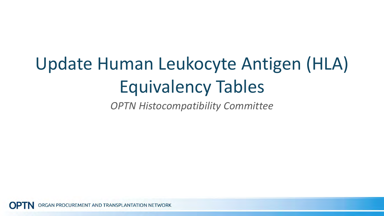## Update Human Leukocyte Antigen (HLA) Equivalency Tables

*OPTN Histocompatibility Committee*

ORGAN PROCUREMENT AND TRANSPLANTATION NETWORK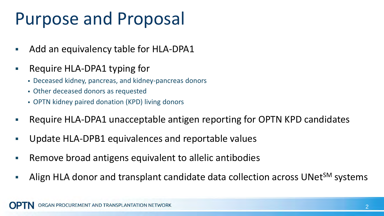## Purpose and Proposal

- Add an equivalency table for HLA-DPA1
- **Require HLA-DPA1 typing for** 
	- Deceased kidney, pancreas, and kidney-pancreas donors
	- Other deceased donors as requested
	- OPTN kidney paired donation (KPD) living donors
- Require HLA-DPA1 unacceptable antigen reporting for OPTN KPD candidates
- Update HLA-DPB1 equivalences and reportable values
- Remove broad antigens equivalent to allelic antibodies
- Align HLA donor and transplant candidate data collection across UNet<sup>SM</sup> systems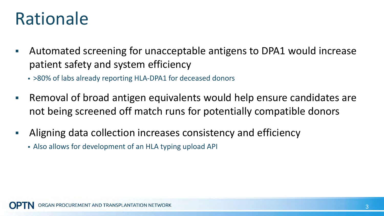## Rationale

- Automated screening for unacceptable antigens to DPA1 would increase patient safety and system efficiency
	- >80% of labs already reporting HLA-DPA1 for deceased donors
- Removal of broad antigen equivalents would help ensure candidates are not being screened off match runs for potentially compatible donors
- Aligning data collection increases consistency and efficiency
	- Also allows for development of an HLA typing upload API